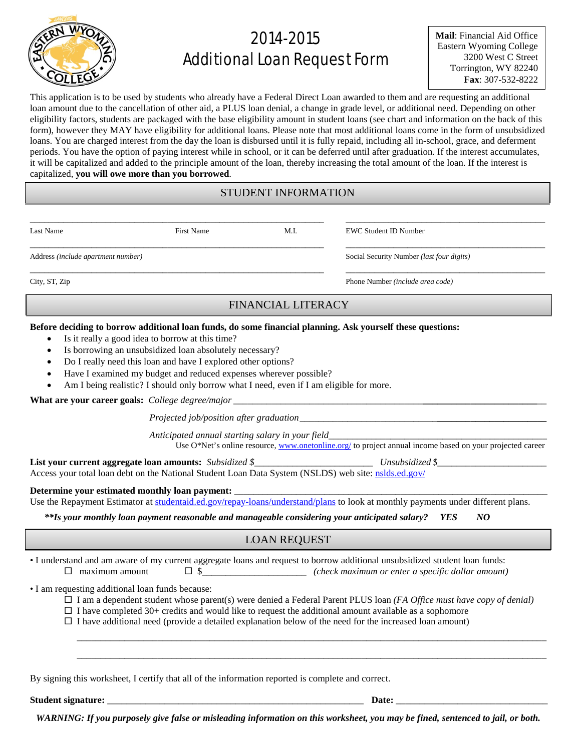

# 2014-2015 Additional Loan Request Form

**Mail**: Financial Aid Office Eastern Wyoming College 3200 West C Street Torrington, WY 82240 **Fax**: 307-532-8222

This application is to be used by students who already have a Federal Direct Loan awarded to them and are requesting an additional loan amount due to the cancellation of other aid, a PLUS loan denial, a change in grade level, or additional need. Depending on other eligibility factors, students are packaged with the base eligibility amount in student loans (see chart and information on the back of this form), however they MAY have eligibility for additional loans. Please note that most additional loans come in the form of unsubsidized loans. You are charged interest from the day the loan is disbursed until it is fully repaid, including all in-school, grace, and deferment periods. You have the option of paying interest while in school, or it can be deferred until after graduation. If the interest accumulates, it will be capitalized and added to the principle amount of the loan, thereby increasing the total amount of the loan. If the interest is capitalized, **you will owe more than you borrowed**.

## STUDENT INFORMATION

\_\_\_\_\_\_\_\_\_\_\_\_\_\_\_\_\_\_\_\_\_\_\_\_\_\_\_\_\_\_\_\_\_\_\_\_\_\_\_\_\_\_\_\_\_\_\_\_\_\_\_\_\_\_\_\_\_\_\_\_\_\_ \_\_\_\_\_\_\_\_\_\_\_\_\_\_\_\_\_\_\_\_\_\_\_\_\_\_\_\_\_\_\_\_\_\_\_\_\_\_\_\_\_\_

Last Name First Name M.I. EWC Student ID Number

\_\_\_\_\_\_\_\_\_\_\_\_\_\_\_\_\_\_\_\_\_\_\_\_\_\_\_\_\_\_\_\_\_\_\_\_\_\_\_\_\_\_\_\_\_\_\_\_\_\_\_\_\_\_\_\_\_\_\_\_\_\_ \_\_\_\_\_\_\_\_\_\_\_\_\_\_\_\_\_\_\_\_\_\_\_\_\_\_\_\_\_\_\_\_\_\_\_\_\_\_\_\_\_\_

Address *(include apartment number)* Social Security Number *(last four digits)*

City, ST, Zip Phone Number *(include area code)*

## FINANCIAL LITERACY

\_\_\_\_\_\_\_\_\_\_\_\_\_\_\_\_\_\_\_\_\_\_\_\_\_\_\_\_\_\_\_\_\_\_\_\_\_\_\_\_\_\_\_\_\_\_\_\_\_\_\_\_\_\_\_\_\_\_\_\_\_\_ \_\_\_\_\_\_\_\_\_\_\_\_\_\_\_\_\_\_\_\_\_\_\_\_\_\_\_\_\_\_\_\_\_\_\_\_\_\_\_\_\_\_

#### **Before deciding to borrow additional loan funds, do some financial planning. Ask yourself these questions:**

- Is it really a good idea to borrow at this time?
- Is borrowing an unsubsidized loan absolutely necessary?
- Do I really need this loan and have I explored other options?
- Have I examined my budget and reduced expenses wherever possible?
- Am I being realistic? I should only borrow what I need, even if I am eligible for more.

What are your career goals: *College degree/major* \_

*Projected job/position after graduation* 

*Anticipated annual starting salary in your field*\_\_\_\_\_\_\_\_\_\_\_\_\_\_\_\_\_\_\_\_\_\_\_\_\_\_\_\_\_\_\_\_\_\_\_\_\_\_\_\_\_\_\_\_\_\_

Use O\*Net's online resource[, www.onetonline.org/](http://www.onetonline.org/) to project annual income based on your projected career

**List your current aggregate loan amounts:** *Subsidized \$\_\_\_\_\_\_\_\_\_\_\_\_\_\_\_\_\_\_\_\_\_\_\_\_\_ Unsubsidized \$\_\_\_\_\_\_\_\_\_\_\_\_\_\_* 

Access your total loan debt on the National Student Loan Data System (NSLDS) web site: [nslds.ed.gov/](http://nslds.ed.gov/)

#### Determine your estimated monthly loan payment:

Use the Repayment Estimator at [studentaid.ed.gov/repay-loans/understand/plans](http://studentaid.ed.gov/repay-loans/understand/plans) to look at monthly payments under different plans.

*\*\*Is your monthly loan payment reasonable and manageable considering your anticipated salary? YES NO*

## LOAN REQUEST

• I understand and am aware of my current aggregate loans and request to borrow additional unsubsidized student loan funds:  $\Box$  maximum amount  $\Box$   $\Box$   $\Box$   $\Box$   $\Box$   $\Box$   $\Box$  *(check maximum or enter a specific dollar amount)* 

• I am requesting additional loan funds because:

I am a dependent student whose parent(s) were denied a Federal Parent PLUS loan *(FA Office must have copy of denial)*

\_\_\_\_\_\_\_\_\_\_\_\_\_\_\_\_\_\_\_\_\_\_\_\_\_\_\_\_\_\_\_\_\_\_\_\_\_\_\_\_\_\_\_\_\_\_\_\_\_\_\_\_\_\_\_\_\_\_\_\_\_\_\_\_\_\_\_\_\_\_\_\_\_\_\_\_\_\_\_\_\_\_\_\_\_\_\_\_\_\_\_\_\_\_\_\_\_\_\_ \_\_\_\_\_\_\_\_\_\_\_\_\_\_\_\_\_\_\_\_\_\_\_\_\_\_\_\_\_\_\_\_\_\_\_\_\_\_\_\_\_\_\_\_\_\_\_\_\_\_\_\_\_\_\_\_\_\_\_\_\_\_\_\_\_\_\_\_\_\_\_\_\_\_\_\_\_\_\_\_\_\_\_\_\_\_\_\_\_\_\_\_\_\_\_\_\_\_\_

 $\Box$  I have completed 30+ credits and would like to request the additional amount available as a sophomore

 $\Box$  I have additional need (provide a detailed explanation below of the need for the increased loan amount)

By signing this worksheet, I certify that all of the information reported is complete and correct.

Student signature: **Example 2018** and  $\overline{a}$  **Date: Date: Date: Date: Date: Date: Date: Date: Date: Date: Date: Date: Date: Date: Date: Date: Date: Date: Date: Date: Date: Date:** 

*WARNING: If you purposely give false or misleading information on this worksheet, you may be fined, sentenced to jail, or both.*